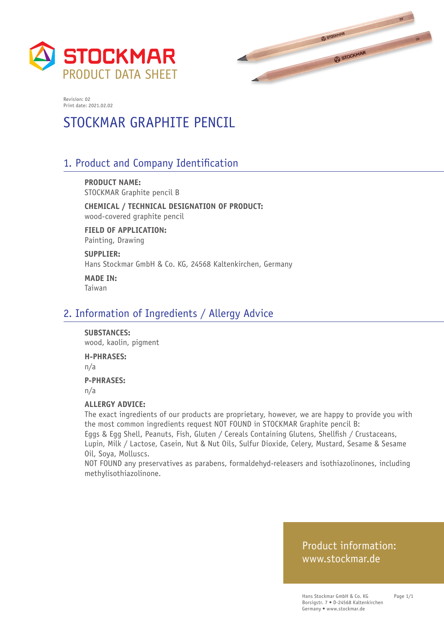



# STOCKMAR GRAPHITE PENCIL

## 1. Product and Company Identification

**PRODUCT NAME:** STOCKMAR Graphite pencil B

**CHEMICAL / TECHNICAL DESIGNATION OF PRODUCT:** wood-covered graphite pencil

**FIELD OF APPLICATION:** Painting, Drawing

**SUPPLIER:** Hans Stockmar GmbH & Co. KG, 24568 Kaltenkirchen, Germany

**MADE IN:** Taiwan

### 2. Information of Ingredients / Allergy Advice

#### **SUBSTANCES:**

wood, kaolin, pigment

#### **H-PHRASES:**

n/a

#### **P-PHRASES:**

n/a

#### **ALLERGY ADVICE:**

The exact ingredients of our products are proprietary, however, we are happy to provide you with the most common ingredients request NOT FOUND in STOCKMAR Graphite pencil B:

Eggs & Egg Shell, Peanuts, Fish, Gluten / Cereals Containing Glutens, Shellfish / Crustaceans, Lupin, Milk / Lactose, Casein, Nut & Nut Oils, Sulfur Dioxide, Celery, Mustard, Sesame & Sesame Oil, Soya, Molluscs.

NOT FOUND any preservatives as parabens, formaldehyd-releasers and isothiazolinones, including methylisothiazolinone.

### Product information: www.stockmar.de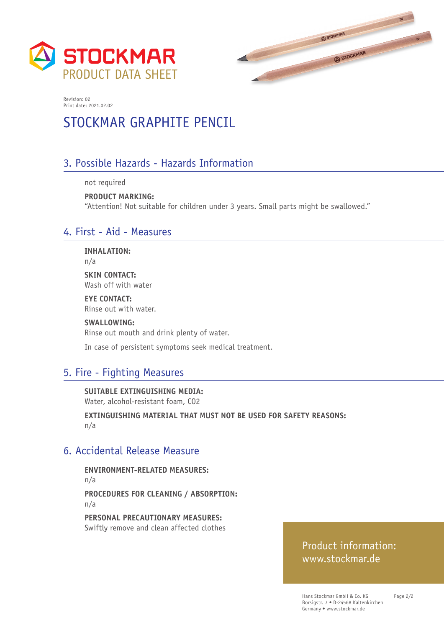



# STOCKMAR GRAPHITE PENCIL

### 3. Possible Hazards - Hazards Information

not required

**PRODUCT MARKING:**  "Attention! Not suitable for children under 3 years. Small parts might be swallowed."

### 4. First - Aid - Measures

**INHALATION:**

n/a

**SKIN CONTACT:** Wash off with water

**EYE CONTACT:** Rinse out with water.

**SWALLOWING:** Rinse out mouth and drink plenty of water.

In case of persistent symptoms seek medical treatment.

## 5. Fire - Fighting Measures

**SUITABLE EXTINGUISHING MEDIA:**  Water, alcohol-resistant foam, CO2

**EXTINGUISHING MATERIAL THAT MUST NOT BE USED FOR SAFETY REASONS:**  n/a

### 6. Accidental Release Measure

**ENVIRONMENT-RELATED MEASURES:**  n/a **PROCEDURES FOR CLEANING / ABSORPTION:**  n/a

**PERSONAL PRECAUTIONARY MEASURES:**  Swiftly remove and clean affected clothes

### Product information: www.stockmar.de

Page 2/2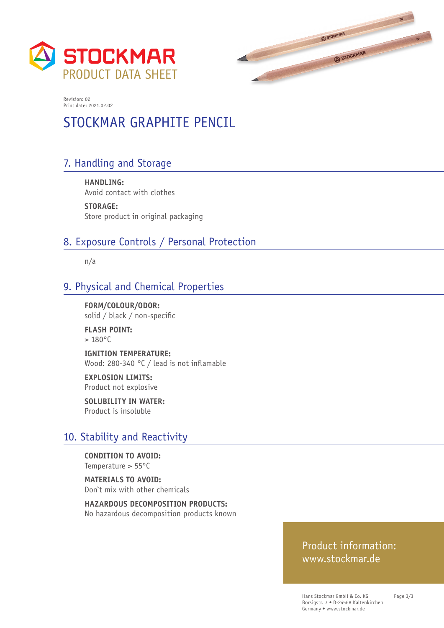



# STOCKMAR GRAPHITE PENCIL

# 7. Handling and Storage

**HANDLING:**  Avoid contact with clothes

**STORAGE:**  Store product in original packaging

### 8. Exposure Controls / Personal Protection

n/a

# 9. Physical and Chemical Properties

**FORM/COLOUR/ODOR:**  solid / black / non-specific

**FLASH POINT:**   $> 180^{\circ}$ C

**IGNITION TEMPERATURE:**  Wood: 280-340 °C / lead is not inflamable

**EXPLOSION LIMITS:**  Product not explosive

**SOLUBILITY IN WATER:**  Product is insoluble

### 10. Stability and Reactivity

**CONDITION TO AVOID:**  Temperature > 55°C

**MATERIALS TO AVOID:**  Don`t mix with other chemicals

**HAZARDOUS DECOMPOSITION PRODUCTS:**  No hazardous decomposition products known

### Product information: www.stockmar.de

Hans Stockmar GmbH & Co. KG Borsigstr. 7 • D-24568 Kaltenkirchen Germany • www.stockmar.de